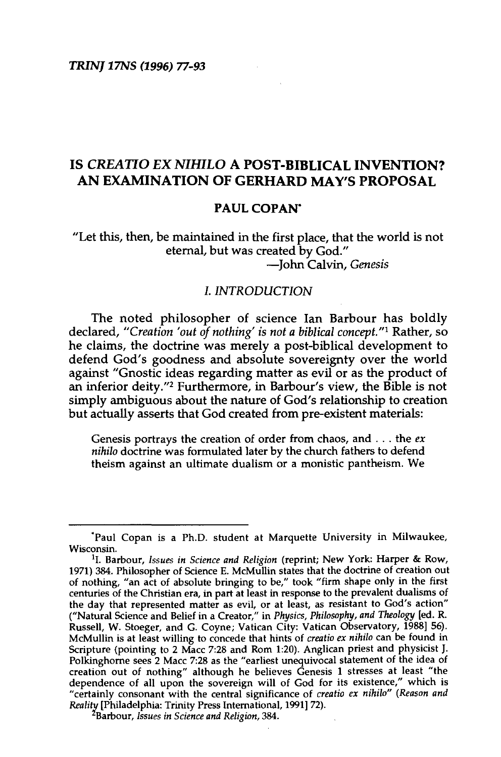# IS *CREATIO EX NIHILO* A POST-BIBLICAL INVENTION? AN EXAMINATION OF GERHARD MAY'S PROPOSAL

#### PAUL COPAN'

"Let this, then, be maintained in the first place, that the world is not eternal, but was created by God." -John Calvin, *Genesis* 

## I. *INTRODUCTION*

The noted philosopher of science Ian Barbour has boldly declared, "Creation 'out of nothing' is not a biblical concept."<sup>1</sup> Rather, so he claims, the doctrine was merely a post-biblical development to defend God's goodness and absolute sovereignty over the world against "Gnostic ideas regarding matter as evil or as the product of an inferior deity."2 Furthermore, in Barbour's view, the Bible is not simply ambiguous about the nature of God's relationship to creation but actually asserts that God created from pre-existent materials:

Genesis portrays the creation of order from chaos, and ... the *ex nihilo* doctrine was formulated later by the church fathers to defend theism against an ultimate dualism or a monistic pantheism. We

<sup>·</sup>Paul Copan is a Ph.D. student at Marquette University in Milwaukee,

<sup>&</sup>lt;sup>1</sup>I. Barbour, *Issues in Science and Religion* (reprint; New York: Harper & Row, 1971) 384. Philosopher of Science E. McMullin states that the doctrine of creation out of nothing, "an act of absolute bringing to be," took "firm shape only in the first centuries of the Christian era, in part at least in response to the prevalent dualisms of the day that represented matter as evil, or at least, as resistant to God's action" ("Natural Science and Belief in a Creator," in *Physics, Philosophy, and Theology* [ed. R. Russell, W. Stoeger, and G. Coyne; Vatican City: Vatican Observatory, 1988] 56). McMullin is at least willing to concede that hints of *creatio ex nihilo* can be found in Scripture (pointing to 2 Mace 7:28 and Rom 1:20). Anglican priest and physicist J. Polkinghome sees 2 Mace 7:28 as the "earliest unequivocal statement of the idea of creation out of nothing" although he believes Genesis 1 stresses at least "the dependence of all upon the sovereign will of God for its existence," which is "certainly consonant with the central significance of *creatio ex nihilo" (Reason and Reality* [Philadelphia: Trinity Press International, 1991] 72).

Barbour, *Issues in Science and Religion,* 384.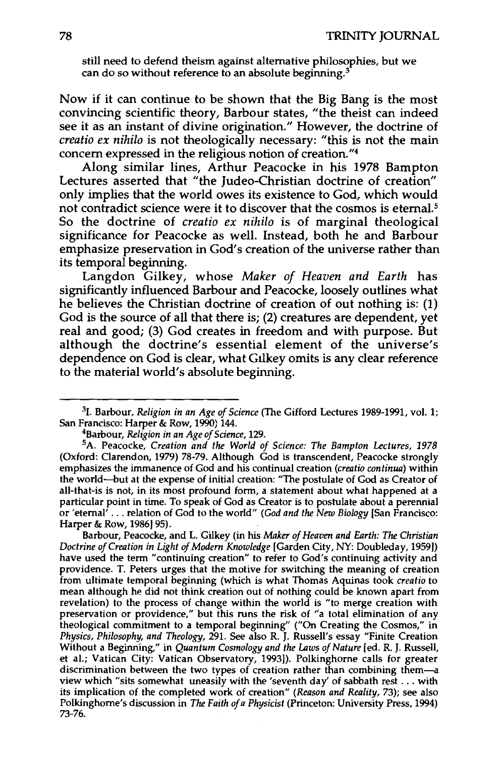still need to defend theism against alternative philosophies, but we can do so without reference to an absolute beginning.<sup>3</sup>

Now if it can continue to be shown that the Big Bang is the most convincing scientific theory, Barbour states, "the theist can indeed see it as an instant of divine origination." However, the doctrine of *creatio ex nihilo* is not theologically necessary: "this is not the main concern expressed in the religious notion of creation."<sup>4</sup>

Along similar lines, Arthur Peacocke in his 1978 Bampton Lectures asserted that "the Judeo-Christian doctrine of creation" only implies that the world owes its existence to God, which would not contradict science were it to discover that the cosmos is eternal.<sup>5</sup> So the doctrine of *creatio ex nihilo* is of marginal theological significance for Peacocke as well. Instead, both he and Barbour emphasize preservation in God's creation of the universe rather than its temporal beginning.

Langdon Gilkey, whose *Maker of Heaven and Earth* has significantly influenced Barbour and Peacocke, loosely outlines what he believes the Christian doctrine of creation of out nothing is: (1) God is the source of all that there is; (2) creatures are dependent, yet real and good; (3) God creates in freedom and with purpose. But although the doctrine's essential element of the universe's dependence on God is clear, what Gilkey omits is any clear reference to the material world's absolute beginning.

<sup>3</sup>1. Barbour, *Religion in an Age of Science* (The Gifford Lectures 1989-1991, vol. 1; San Francisco: Harper & Row, 1990) 144. 4Barbour, *Religion in an Age of Science,* 129.

<sup>5</sup>A. Peacocke, *Creation and the World of Science: The Bampton Lectures, 1978*  (Oxford: Clarendon, 1979) 78-79. Although God is transcendent, Peacocke strongly emphasizes the immanence of God and his continual creation *(creatio continua)* within the world-but at the expense of initial creation: "The postulate of God as Creator of all-that-is is not, in its most profound form, a statement about what happened at a particular point in time. To speak of God as Creator is to postulate about a perennial or 'eternal' ... relation of God to the world" *(God and the New Biology* [San Francisco: Harper & Row, 1986] 95).

Barbour, Peacocke, and L. Gilkey (in his *Maker of Heaven and Earth: The Christian Doctrine of Creation in Light of Modern Knowledge* [Garden City, NY: Doubleday, 1959]) have used the term "continuing creation" to refer to God's continuing activity and providence. T. Peters urges that the motive for switching the meaning of creation from ultimate temporal beginning (which is what Thomas Aquinas took *creatio* to mean although he did not think creation out of nothing could be known apart from revelation) to the process of change within the world is "to merge creation with preservation or providence," but this runs the risk of "a total elimination of any theological commitment to a temporal beginning" ("On Creating the Cosmos", in *Physics, Philosophy, and Theology,* 291. See also R. J. Russell's essay "Finite Creation Without a Beginning," in *Quantum Cosmology and the Laws of Nature* [ed. R. J. Russell, et al.; Vatican City: Vatican Observatory, 1993]). Polkinghorne calls for greater discrimination between the two types of creation rather than combining them-a view which "sits somewhat uneasily with the 'seventh day' of sabbath rest ... with its implication of the completed work of creation" *(Reason and Reality,* 73); see also Polkinghome's discussion in *The Faith of a Physicist* (Princeton: University Press, 1994) 73-76.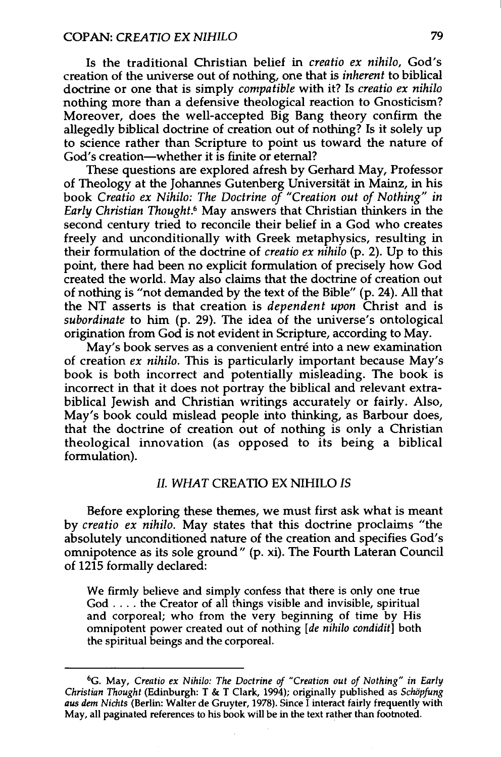#### COPAN: CREATIO EX NIHILO 79

Is the traditional Christian belief in *creatio ex nihilo,* God's creation of the universe out of nothing, one that is *inherent* to biblical doctrine or one that is simply *compatible* with it? Is *creatio ex nihilo*  nothing more than a defensive theological reaction to Gnosticism? Moreover, does the well-accepted Big Bang theory confirm the allegedly biblical doctrine of creation out of nothing? Is it solely up to science rather than Scripture to point us toward the nature of God's creation-whether it is finite or eternal?

These questions are explored afresh by Gerhard May, Professor of Theology at the Johannes Gutenberg Universität in Mainz, in his book *Creatio ex Nihilo: The Doctrine of "Creation out of Nothing" in Early Christian Thought.6* May answers that Christian thinkers in the second century tried to reconcile their belief in a God who creates freely and unconditionally with Greek metaphysics, resulting in their formulation of the doctrine of *creatio ex nihilo* (p. 2). Up to this point, there had been no explicit formulation of precisely how God created the world. May also claims that the doctrine of creation out of nothing is "not demanded by the text of the Bible" (p. 24). All that the NT asserts is that creation is *dependent upon* Christ and is *subordinate* to him (p. 29). The idea of the universe's ontological origination from God is not evident in Scripture, according to May.

May's book serves as a convenient entré into a new examination of creation *ex nihilo.* This is particularly important because May's book is both incorrect and potentially misleading. The book is incorrect in that it does not portray the biblical and relevant extrabiblical Jewish and Christian writings accurately or fairly. Also, May's book could mislead people into thinking, as Barbour does, that the doctrine of creation out of nothing is only a Christian theological innovation (as opposed to its being a biblical formulation).

#### II. WHAT CREATIO EX NIHILO IS

Before exploring these themes, we must first ask what is meant by *creatio ex nihilo.* May states that this doctrine proclaims "the absolutely unconditioned nature of the creation and specifies God's omnipotence as its sole ground" (p. xi). The Fourth Lateran Council of 1215 formally declared:

We firmly believe and simply confess that there is only one true God .... the Creator of all things visible and invisible, spiritual and corporeal; who from the very beginning of time by His omnipotent power created out of nothing *[de nihilo condidit]* both the spiritual beings and the corporeal.

<sup>6</sup> G. May, *Creatio ex Nihilo: The Doctrine of "Creation out of Nothing" in Early Christian Thought* (Edinburgh: T & T Clark, 1994); originally published as *Schöpfung aus dem Nichts* (Berlin: Walter de Gruyter, 1978). Since I interact fairly frequently with May, all paginated references to his book will be in the text rather than footnoted.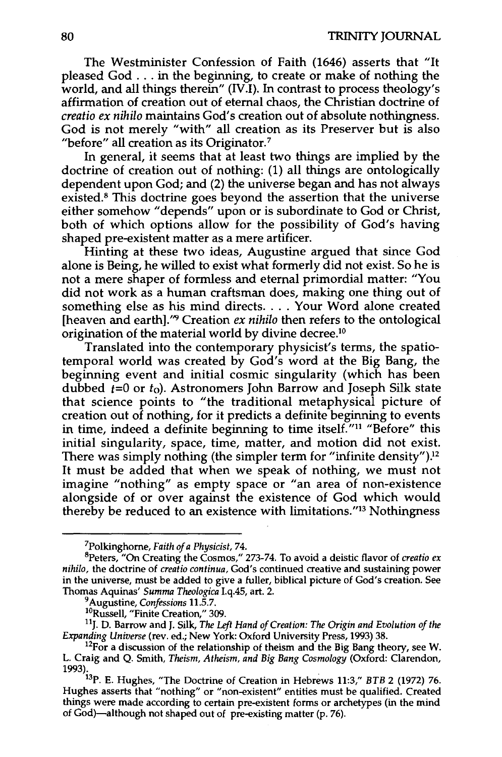The Westminister Confession of Faith {1646) asserts that "It pleased God ... in the beginning, to create or make of nothing the world, and all things therein" (IV.I). In contrast to process theology's affirmation of creation out of eternal chaos, the Christian doctrine of *creatio ex nihilo* maintains God's creation out of absolute nothingness. God is not merely "with" all creation as its Preserver but is also "before" all creation as its Originator.?

In general, it seems that at least two things are implied by the doctrine of creation out of nothing: (1) all things are ontologically dependent upon God; and (2) the universe began and has not always existed.<sup>8</sup> This doctrine goes beyond the assertion that the universe either somehow "depends" upon or is subordinate to God or Christ, both of which options allow for the possibility of God's having shaped pre-existent matter as a mere artificer.

Hinting at these two ideas, Augustine argued that since God alone is Being, he willed to exist what formerly did not exist. So he is not a mere shaper of formless and eternal primordial matter: "You did not work as a human craftsman does, making one thing out of something else as his mind directs .... Your Word alone created [heaven and earth].<sup>"</sup> Creation *ex nihilo* then refers to the ontological origination of the material world by divine decree.10

Translated into the contemporary physicist's terms, the spatiatemporal world was created by God's word at the Big Bang, the beginning event and initial cosmic singularity (which has been dubbed *t*=0 or *t*<sub>0</sub>). Astronomers John Barrow and Joseph Silk state that science points to "the traditional metaphysical picture of creation out of nothing, for it predicts a definite beginning to events in time, indeed a definite beginning to time itself."<sup>11</sup> "Before" this initial singularity, space, time, matter, and motion did not exist. There was simply nothing (the simpler term for "infinite density"). $^{12}$ It must be added that when we speak of nothing, we must not imagine "nothing" as empty space or "an area of non-existence alongside of or over against the existence of God which would thereby be reduced to an existence with limitations."13 Nothingness

<sup>&</sup>lt;sup>7</sup>Polkinghorne, Faith of a Physicist, 74.

<sup>&</sup>lt;sup>8</sup>Peters, "On Creating the Cosmos," 273-74. To avoid a deistic flavor of *creatio ex nihilo,* the doctrine of *creatio continua,* God's continued creative and sustaining power in the universe, must be added to give a fuller, biblical picture of God's creation. See Thomas Aquinas' Summa Theologica I.q.45, art. 2.<br><sup>9</sup> Augustine, Confessions 11.5.7.<br><sup>10</sup>Russell, "Finite Creation," 309.<br><sup>11</sup>J. D. Barrow and J. Silk, *The Left Hand of Creation: The Origin and Evolution of the* 

*Expanding Universe* (rev. ed.; New York: Oxford University Press, 1993) 38.<br><sup>12</sup>For a discussion of the relationship of theism and the Big Bang theory, see W.

L. Craig and Q. Smith, *Theism, Atheism, and Big Bang Cosmology* (Oxford: Clarendon, 1993). 13P. E. Hughes, "The Doctrine of Creation in Hebrews 11:3," *BTB* 2 (1972) 76.

Hughes asserts that "nothing" or "non-existent" entities must be qualified. Created Hughes asserts that "nothing" or "non-existent" entities must be qualified. Created things were made according to certain pre-existent forms or archetypes (in the mind of God)-although not shaped out of pre-existing matter (p. 76).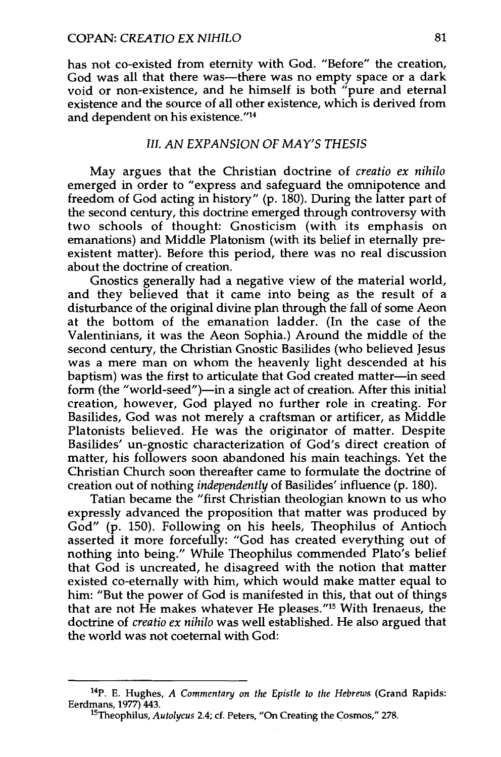has not co-existed from eternity with God. "Before" the creation, God was all that there was—there was no empty space or a dark void or non-existence, and he himself is both "pure and eternal existence and the source of all other existence, which is derived from and dependent on his existence."14

## *III. AN EXPANSION OF MAY'S THESIS*

May argues that the Christian doctrine of *creatio ex nihilo*  emerged in order to "express and safeguard the omnipotence and freedom of God acting in history" (p. 180). During the latter part of the second century, this doctrine emerged through controversy with two schools of thought: Gnosticism (with its emphasis on emanations) and Middle Platonism (with its belief in eternally preexistent matter). Before this period, there was no real discussion about the doctrine of creation.

Gnostics generally had a negative view of the material world, and they believed that it came into being as the result of a disturbance of the original divine plan through the fall of some Aeon at the bottom of the emanation ladder. (In the case of the Valentinians, it was the Aeon Sophia.) Around the middle of the second century, the Christian Gnostic Basilides (who believed Jesus was a mere man on whom the heavenly light descended at his baptism) was the first to articulate that God created matter-in seed form (the "world-seed")—in a single act of creation. After this initial creation, however, God played no further role in creating. For Basilides, God was not merely a craftsman or artificer, as Middle Platonists believed. He was the originator of matter. Despite Basilides' un-gnostic characterization of God's direct creation of matter, his followers soon abandoned his main teachings. Yet the Christian Church soon thereafter came to formulate the doctrine of creation out of nothing *independently* of Basilides' influence (p. 180).

Tatian became the "first Christian theologian known to us who expressly advanced the proposition that matter was produced by God" (p. 150). Following on his heels, Theophilus of Antioch asserted it more forcefully: "God has created everything out of nothing into being." Whlle Theophilus commended Plato's belief that God is uncreated, he disagreed with the notion that matter existed co-eternally with him, which would make matter equal to him: "But the power of God is manifested in this, that out of things that are not He makes whatever He pleases."15 With Irenaeus, the doctrine of *creatio ex nihilo* was well established. He also argued that the world was not coeternal with God:

<sup>14</sup>P. E. Hughes, *A Commentary on the Epistle to the Hebrews* (Grand Rapids: Eerdmans, 1977) 443. 15Theophilus, *Autolycus* 2.4; cf. Peters, "On Creating the Cosmos," 278.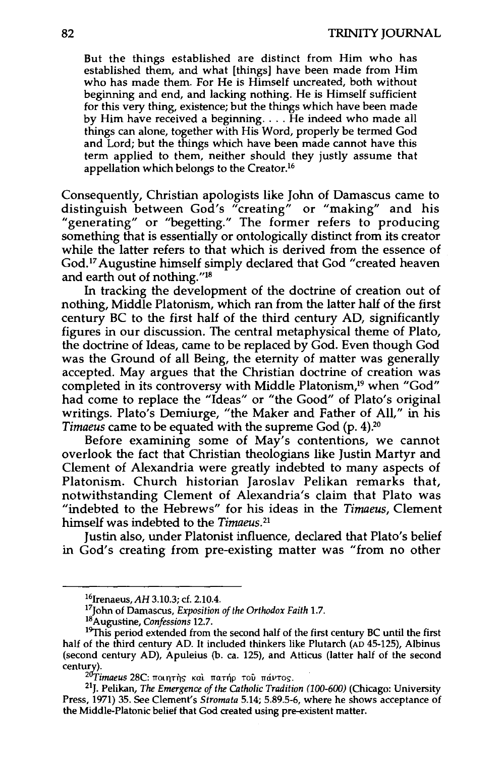But the things established are distinct from Him who has established them, and what [things] have been made from Him who has made them. For He is Himself uncreated, both without beginning and end, and lacking nothing. He is Himself sufficient for this very thing, existence; but the things which have been made by Him have received a beginning .... He indeed who made all things can alone, together with His Word, properly be termed God and Lord; but the things which have been made cannot have this term applied to them, neither should they justly assume that appellation which belongs to the Creator.16

Consequently, Christian apologists like John of Damascus came to distinguish between God's "creating" or "making" and his "generating" or "begetting." The former refers to producing something that is essentially or ontologically distinct from its creator while the latter refers to that which is derived from the essence of God.<sup>17</sup> Augustine himself simply declared that God "created heaven and earth out of nothing."18

In tracking the development of the doctrine of creation out of nothing, Middle Platonism, which ran from the latter half of the first century BC to the first half of the third century AD, significantly figures in our discussion. The central metaphysical theme of Plato, the doctrine of Ideas, came to be replaced by God. Even though God was the Ground of all Being, the eternity of matter was generally accepted. May argues that the Christian doctrine of creation was completed in its controversy with Middle Platonism,<sup>19</sup> when "God" had come to replace the "Ideas" or "the Good" of Plato's original writings. Plato's Demiurge, "the Maker and Father of All," in his *Timaeus* came to be equated with the supreme God (p. 4).20

Before examining some of May's contentions, we cannot overlook the fact that Christian theologians like Justin Martyr and Clement of Alexandria were greatly indebted to many aspects of Platonism. Church historian Jaroslav Pelikan remarks that, notwithstanding Clement of Alexandria's claim that Plato was "indebted to the Hebrews" for his ideas in the *Timaeus,* Clement himself was indebted to the *Timaeus. <sup>21</sup>*

Justin also, under Platonist influence, declared that Plato's belief in God's creating from pre-existing matter was "from no other

<sup>&</sup>lt;sup>16</sup>Irenaeus, AH 3.10.3; cf. 2.10.4.<br><sup>17</sup>John of Damascus, *Exposition of the Orthodox Faith* 1.7. <sup>18</sup> Augustine, *Confessions* 12.7.

<sup>&</sup>lt;sup>19</sup>This period extended from the second half of the first century BC until the first half of the third century AD. It included thinkers like Plutarch (AD 45-125), Albinus (second century AD), Apuleius (b. ca. 125), and Atticus (latter half of the second century).<br><sup>20</sup>Timaeus 28C: ποιητής και πατήρ του πάντος.<br><sup>21</sup>J. Pelikan, *The Emergence of the Catholic Tradition (100-600)* (Chicago: University

Press, 1971) 35. See Clement's *Stromata* 5.14; 5.89.5-6, where he shows acceptance of the Middle-Platonic belief that God created using pre-existent matter.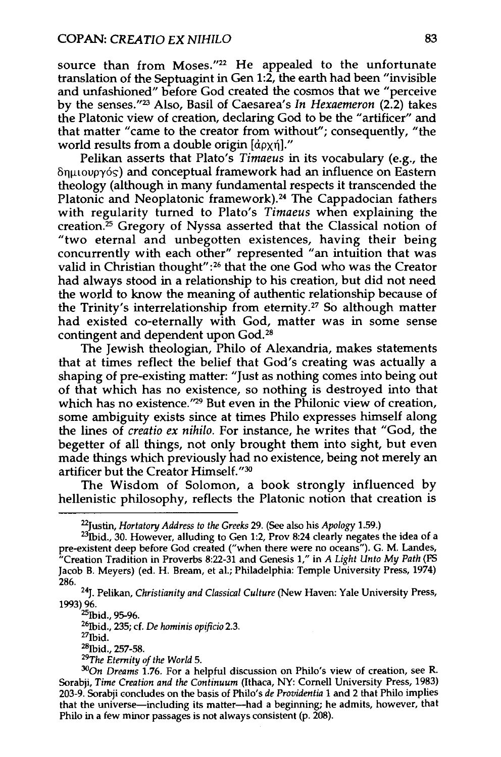source than from Moses."<sup>22</sup> He appealed to the unfortunate translation of the Septuagint in Gen 1:2, the earth had been "invisible and unfashioned" before God created the cosmos that we "perceive by the senses."23 Also, Basil of Caesarea's *In Hexaemeron* (2.2) takes the Platonic view of creation, declaring God to be the "artificer" and that matter "came to the creator from without"; consequently, "the world results from a double origin  $\left[\frac{d\rho}{r}\right]$ ."

Pelikan asserts that Plato's *Timaeus* in its vocabulary (e.g., the 8ruuoupy6s) and conceptual framework had an influence on Eastern theology (although in many fundamental respects it transcended the Platonic and Neoplatonic framework).<sup>24</sup> The Cappadocian fathers with regularity turned to Plato's *Timaeus* when explaining the creation.<sup>25</sup> Gregory of Nyssa asserted that the Classical notion of "two eternal and unbegotten existences, having their being concurrently with each other" represented "an intuition that was valid in Christian thought":<sup>26</sup> that the one God who was the Creator had always stood in a relationship to his creation, but did not need the world to know the meaning of authentic relationship because of the Trinity's interrelationship from eternity.27 So although matter had existed co-eternally with God, matter was in some sense contingent and dependent upon God.<sup>28</sup>

The Jewish theologian, Philo of Alexandria, makes statements that at times reflect the belief that God's creating was actually a shaping of pre-existing matter: "Just as nothing comes into being out of that which has no existence, so nothing is destroyed into that which has no existence."<sup>29</sup> But even in the Philonic view of creation, some ambiguity exists since at times Philo expresses himself along the lines of *creatio ex nihilo.* For instance, he writes that "God, the begetter of all things, not only brought them into sight, but even made things which previously had no existence, being not merely an artificer but the Creator Himself."30

The Wisdom of Solomon, a book strongly influenced by hellenistic philosophy, reflects the Platonic notion that creation is

261bid., 235; cf. *De hominis opificio* 2.3. <sup>28</sup>Ibid., 257-58.<br><sup>29</sup>The Eternity of the World 5.<br><sup>30</sup>On *Dreams* 1.76. For a helpful discussion on Philo's view of creation, see R.

<sup>&</sup>lt;sup>22</sup>Justin, *Hortatory Address to the Greeks* 29. (See also his *Apology* 1.59.)<br><sup>23</sup>Ibid., 30. However, alluding to Gen 1:2, Prov 8:24 clearly negates the idea of a pre-existent deep before God created ("when there were no oceans"). G. M. Landes, "Creation Tradition in Proverbs 8:22-31 and Genesis 1," in *A Light Unto My Path* (FS Jacob B. Meyers) (ed. H. Bream, et al.; Philadelphia: Temple University Press, 1974) 286.

<sup>24</sup>J. Pelikan, *Christianity and Classical Culture* (New Haven: Yale University Press,  $1993$ ) 96.<br> $25$ [bid., 95-96.

Sorabji, *Time Creation and the Continuum* (Ithaca, NY: Cornell University Press, 1983) 203-9. Sorabji concludes on the basis of Philo's *de Providentia* 1 and 2 that Philo implies that the universe-including its matter--had a beginning; he admits, however, that Philo in a few minor passages is not always consistent (p. 208).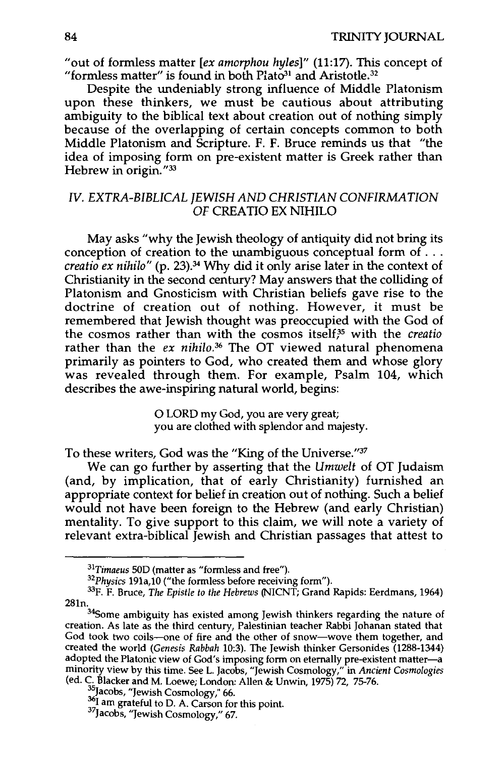"out of formless matter *[ex amorphou hyles]"* (11:17). This concept of "formless matter" is found in both Plato<sup>31</sup> and Aristotle.<sup>32</sup>

Despite the undeniably strong influence of Middle Platonism upon these thinkers, we must be cautious about attributing ambiguity to the biblical text about creation out of nothing simply because of the overlapping of certain concepts common to both Middle Platonism and Scripture. F. F. Bruce reminds us that "the idea of imposing form on pre-existent matter is Greek rather than Hebrew in origin."<sup>33</sup>

## IV. EXTRA-BIBLICAL JEWISH AND CHRISTIAN CONFIRMATION OF CREA TIO EX NIHILO

May asks "why the Jewish theology of antiquity did not bring its conception of creation to the unambiguous conceptual form of ... *creatio ex nihilo"* (p. 23).34 Why did it only arise later in the context of Christianity in the second century? May answers that the colliding of Platonism and Gnosticism with Christian beliefs gave rise to the doctrine of creation out of nothing. However, it must be remembered that Jewish thought was preoccupied with the God of the cosmos rather than with the cosmos itselff5 with the *creatio*  rather than the *ex nihilo.36* The OT viewed natural phenomena primarily as pointers to God, who created them and whose glory was revealed through them. For example, Psalm 104, which describes the awe-inspiring natural world, begins:

> 0 LORD my God, you are very great; you are clothed with splendor and majesty.

To these writers, God was the "King of the Universe."37

We can go further by asserting that the *Umwelt* of OT Judaism (and, by implication, that of early Christianity) furnished an appropriate context for belief in creation out of nothing. Such a belief would not have been foreign to the Hebrew (and early Christian) mentality. To give support to this claim, we will note a variety of relevant extra-biblical Jewish and Christian passages that attest to

<sup>&</sup>lt;sup>31</sup>Timaeus 50D (matter as "formless and free").<br><sup>32</sup>Physics 191a,10 ("the formless before receiving form").<br><sup>33</sup>F. F. Bruce, *The Epistle to the Hebrews* (NICNT; Grand Rapids: Eerdmans, 1964)  $^{281n}$ .  $^{34}$ Some ambiguity has existed among Jewish thinkers regarding the nature of

creation. As late as the third century, Palestinian teacher Rabbi Johanan stated that creation. As late as the third century, Palestinian teacher Rabbi Johanan stated that God took two coils—one of fire and the other of snow—wove them together, and created the world *(Genesis Rabbah* 10:3). The Jewish thinker Gersonides (1288-1344) adopted the Platonic view of God's imposing form on eternally pre-existent matter-a minority view by this time. See L. Jacobs, "Jewish Cosmology," in *Ancient Cosmologies*  (ed. C. Blacker and M. Loewe; London: Allen & Unwin, 1975) 72, 75-76.<br><sup>35</sup>Jacobs, "Jewish Cosmology," 66. <sup>36</sup>I am grateful to D. A. Carson for this point. <sup>37</sup>Jacobs, "Jewish Cosmology," 67.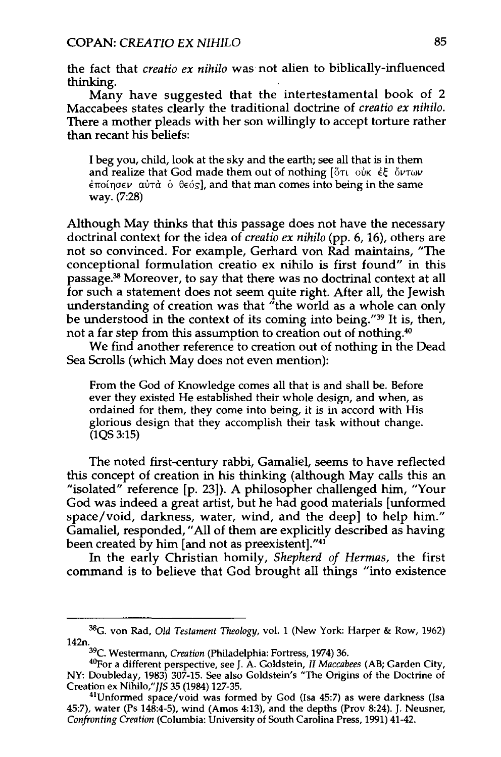the fact that *creatio ex nihilo* was not alien to biblically-influenced thinking.

Many have suggested that the intertestamental book of 2 Maccabees states clearly the traditional doctrine of *creatio ex nihilo.*  There a mother pleads with her son willingly to accept torture rather than recant his beliefs:

I beg you, child, look at the sky and the earth; see all that is in them and realize that God made them out of nothing [or ouk et ourw  $\epsilon$ ποίησεν αύτὰ ὁ θεός], and that man comes into being in the same way. (7:28)

Although May thinks that this passage does not have the necessary doctrinal context for the idea of *creatio ex nihilo* (pp. 6, 16), others are not so convinced. For example, Gerhard von Rad maintains, "The conceptional formulation creatio ex nihilo is first found" in this passage.38 Moreover, to say that there was no doctrinal context at all for such a statement does not seem quite right. After all, the Jewish understanding of creation was that "the world as a whole can only be understood in the context of its coming into being."39 It is, then, not a far step from this assumption to creation out of nothing.40

We find another reference to creation out of nothing in the Dead Sea Scrolls (which May does not even mention):

From the God of Knowledge comes all that is and shall be. Before ever they existed He established their whole design, and when, as ordained for them, they come into being, it is in accord with His glorious design that they accomplish their task without change.  $(1QS 3:15)$ 

The noted first-century rabbi, Gamaliel, seems to have reflected this concept of creation in his thinking (although May calls this an "isolated" reference [p. 23]). A philosopher challenged him, "Your God was indeed a great artist, but he had good materials [unformed space/void, darkness, water, wind, and the deep] to help him." Gamaliel, responded, "All of them are explicitly described as having been created by him [and not as preexistent]."41

In the early Christian homily, *Shepherd of Hermas,* the first command is to believe that God brought all things "into existence

<sup>38</sup>G. von Rad, *Old Testament Theology,* vol. 1 (New York: Harper & Row, 1962)

<sup>142</sup>n. 39C. Westermann, *Creation* (Philadelphia: Fortress, 1974) 36. 40por a different perspective, see J. A. Goldstein, *II Maccabees* (AB; Garden City, NY: Doubleday, 1983) 307-15. See also Goldstein's "The Origins of the Doctrine of Creation ex Nihilo,"J/5 35 (1984) 127-35. 41Unformed space/void was formed by God (Isa 45:7) as were darkness (lsa

<sup>45:7),</sup> water (Ps 148:4-5), wind (Amos 4:13), and the depths (Prov 8:24). J. Neusner, *Confronting Creation* (Columbia: University of South Carolina Press, 1991) 41-42.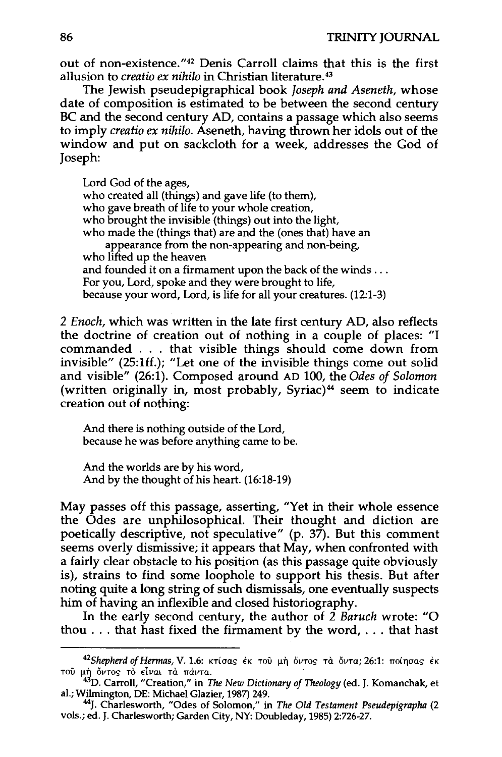out of non-existence."42 Denis Carroll claims that this is the first allusion to *creatio ex nihilo* in Christian literature. <sup>43</sup>

The Jewish pseudepigraphical book *Joseph and Aseneth,* whose date of composition is estimated to be between the second century BC and the second century AD, contains a passage which also seems to imply *creatio ex nihilo.* Aseneth, having thrown her idols out of the window and put on sackcloth for a week, addresses the God of Joseph:

Lord God of the ages, who created all (things) and gave life (to them), who gave breath of life to your whole creation, who brought the invisible (things) out into the light, who made the (things that) are and the (ones that) have an appearance from the non-appearing and non-being, who lifted up the heaven and founded it on a firmament upon the back of the winds ... For you, Lord, spoke and they were brought to life, because your word, Lord, is life for all your creatures. (12:1-3)

2 *Enoch,* which was written in the late first century AD, also reflects the doctrine of creation out of nothing in a couple of places: "I commanded . . . that visible things should come down from invisible" (25:1ff.); "Let one of the invisible things come out solid and visible" (26:1). Composed around AD 100, the *Odes of Solomon*  (written originally in, most probably, Syriac)<sup>44</sup> seem to indicate creation out of nothing:

And there is nothing outside of the Lord, because he was before anything came to be.

And the worlds are by his word, And by the thought of his heart. (16:18-19)

May passes off this passage, asserting, "Yet in their whole essence the Odes are unphilosophical. Their thought and diction are poetically descriptive, not speculative" (p. 37). But this comment seems overly dismissive; it appears that May, when confronted with a fairly clear obstacle to his position (as this passage quite obviously is), strains to find some loophole to support his thesis. But after noting quite a long string of such dismissals, one eventually suspects him of having an inflexible and closed historiography.

In the early second century, the author of 2 *Baruch* wrote: "0 thou ... that hast fixed the firmament by the word, ... that hast

<sup>&</sup>lt;sup>42</sup>Shepherd of Hermas, V. 1.6: κτίσας έκ του μή όντος τα όντα; 26:1: ποίησας έκ TOU μη δυτος τό είναι τα πάντα.<br><sup>43</sup>D. Carroll, "Creation," in *The New Dictionary of Theology* (ed. J. Komanchak, et

a!.; Wilmington, DE: Michael Glazier, 1987) 249. 44J. Charlesworth, "Odes of Solomon," in *The Old Testament Pseudepigrapha* (2

vols.; ed. J. Charlesworth; Garden City, NY: Doubleday, 1985) 2:726-27.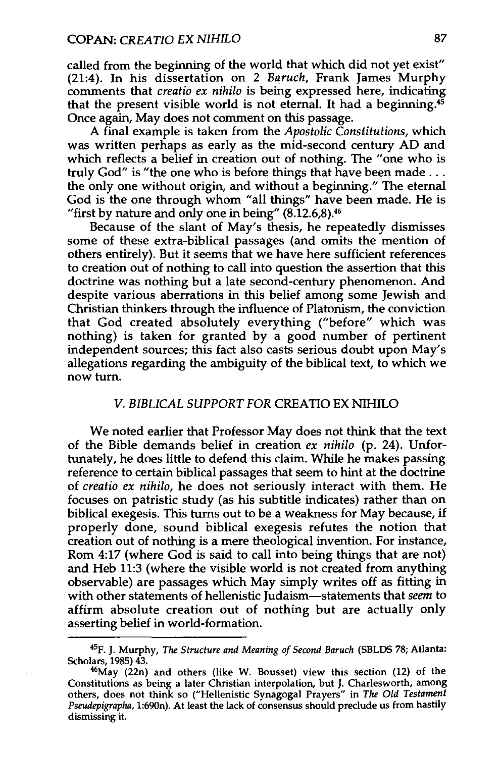called from the beginning of the world that which did not yet exist" (21:4). In his dissertation on 2 *Baruch,* Frank James Murphy comments that *creatio ex nihilo* is being expressed here, indicating that the present visible world is not eternal. It had a beginning.45 Once again, May does not comment on this passage.

A final example is taken from the *Apostolic Constitutions,* which was written perhaps as early as the mid-second century AD and which reflects a belief in creation out of nothing. The "one who is truly God" is "the one who is before things that have been made ... the only one without origin, and without a beginning." The eternal God is the one through whom "all things" have been made. He is "first by nature and only one in being"  $(8.12.6,8).$ <sup>46</sup>

Because of the slant of May's thesis, he repeatedly dismisses some of these extra-biblical passages (and omits the mention of others entirely). But it seems that we have here sufficient references to creation out of nothing to call into question the assertion that this doctrine was nothing but a late second-century phenomenon. And despite various aberrations in this belief among some Jewish and Christian thinkers through the influence of Platonism, the conviction that God created absolutely everything ("before" which was nothing) is taken for granted by a good number of pertinent independent sources; this fact also casts serious doubt upon May's allegations regarding the ambiguity of the biblical text, to which we now turn.

## *V. BIBLICAL SUPPORT FOR* CREATIO EX NIHILO

We noted earlier that Professor May does not think that the text of the Bible demands belief in creation *ex nihilo* (p. 24). Unfortunately, he does little to defend this claim. While he makes passing reference to certain biblical passages that seem to hint at the doctrine of *creatio ex nihilo,* he does not seriously interact with them. He focuses on patristic study (as his subtitle indicates) rather than on biblical exegesis. This turns out to be a weakness for May because, if properly done, sound biblical exegesis refutes the notion that creation out of nothing is a mere theological invention. For instance, Rom 4:17 (where God is said to call into being things that are not) and Heb 11:3 (where the visible world is not created from anything observable) are passages which May simply writes off as fitting in with other statements of hellenistic Judaism-statements that *seem* to affirm absolute creation out of nothing but are actually only asserting belief in world-formation.

<sup>45</sup>F. J. Murphy, *The Structure and Meaning of Second Baruch* (SBLDS 78; Atlanta: Scholars, 1985) 43.<br> $46$ May (22n) and others (like W. Bousset) view this section (12) of the

Constitutions as being a later Christian interpolation, but J. Charlesworth, among others, does not think so ("Hellenistic Synagogal Prayers" in *The Old Testament Pseudepigrapha,* 1:690n). At least the lack of consensus should preclude us from hastily dismissing it.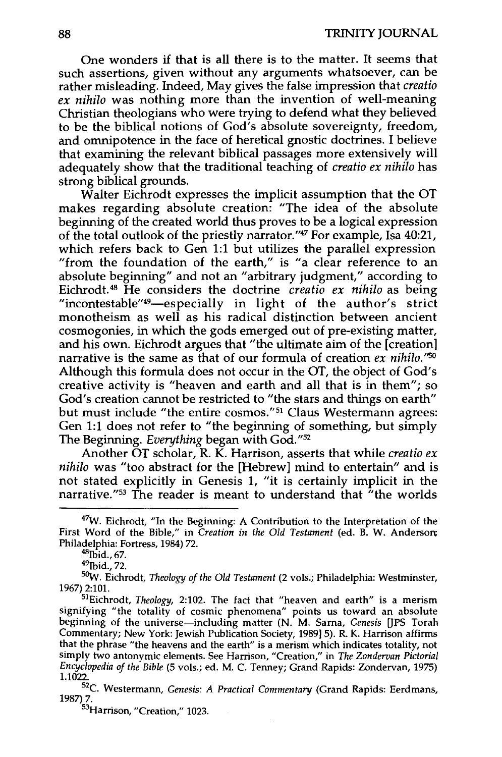One wonders if that is all there is to the matter. It seems that such assertions, given without any arguments whatsoever, can be rather misleading. Indeed, May gives the false impression that *creatio ex nihilo* was nothing more than the invention of well-meaning Christian theologians who were trying to defend what they believed to be the biblical notions of God's absolute sovereignty, freedom, and omnipotence in the face of heretical gnostic doctrines. I believe that examining the relevant biblical passages more extensively will adequately show that the traditional teaching of *creatio ex nihilo* has strong biblical grounds.

Walter Eichrodt expresses the implicit assumption that the OT makes regarding absolute creation: "The idea of the absolute beginning of the created world thus proves to be a logical expression of the total outlook of the priestly narrator."47 For example, Isa 40:21, which refers back to Gen 1:1 but utilizes the parallel expression "from the foundation of the earth," is "a clear reference to an absolute beginning" and not an "arbitrary judgment," according to Eichrodt. 48 He considers the doctrine *creatio ex nihilo* as being "incontestable"<sup>49</sup>-especially in light of the author's strict monotheism as well as his radical distinction between ancient cosmogonies, in which the gods emerged out of pre-existing matter, and his own. Eichrodt argues that "the ultimate aim of the [creation] narrative is the same as that of our formula of creation *ex nihilo."50*  Although this formula does not occur in the OT, the object of God's creative activity is "heaven and earth and all that is in them"; so God's creation cannot be restricted to "the stars and things on earth" but must include "the entire cosmos."<sup>51</sup> Claus Westermann agrees: Gen 1:1 does not refer to "the beginning of something, but simply The Beginning. *Everything* began with God."52

Another OT scholar, R. K. Harrison, asserts that while *creatio ex nihilo* was "too abstract for the [Hebrew] mind to entertain" and is not stated explicitly in Genesis 1, "it is certainly implicit in the narrative.<sup>"53</sup> The reader is meant to understand that "the worlds"

<sup>53</sup>Harrison, "Creation." 1023.

<sup>&</sup>lt;sup>47</sup>W. Eichrodt, "In the Beginning: A Contribution to the Interpretation of the First Word of the Bible," in *Creation in the Old Testament* (ed. B. W. Anderson; Philadelphia: Fortress, 1984) 72.<br><sup>48</sup>lbid., 67.<br><sup>49</sup>lbid., 72.

<sup>5</sup> 0W. Eichrodt, *Theology of the Old Testament* (2 vols.; Philadelphia: Westminster, 1967) 2:101.

<sup>51</sup>Eichrodt, *Theology,* 2:102. The fact that "heaven and earth" is a merism signifying "the totality of cosmic phenomena" points us toward an absolute beginning of the universe-including matter (N. M. Sarna, *Genesis* [JPS Torah Commentary; New York: Jewish Publication Society, 1989]5). R. K. Harrison affirms that the phrase "the heavens and the earth" is a merism which indicates totality, not simply two antonymic elements. See Harrison, "Creation," in *The Zondervan Pictorial Encyclopedia of the Bible* (5 vols.; ed. M. C. Tenney; Grand Rapids: Zondervan, 1975) 1.1022.

<sup>&</sup>lt;sup>52</sup>C. Westermann, *Genesis: A Practical Commentary* (Grand Rapids: Eerdmans, 1987) 7.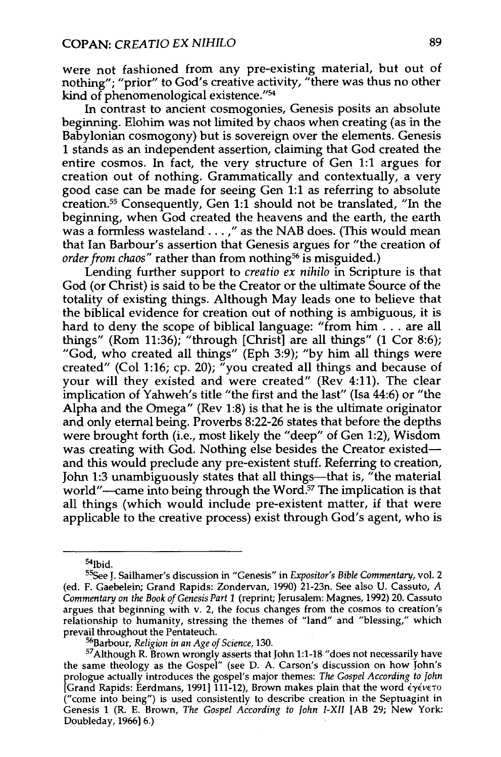were not fashioned from any pre-existing material, but out of nothing"; "prior" to God's creative activity, "there was thus no other kind of phenomenological existence."54

In contrast to ancient cosmogonies, Genesis posits an absolute beginning. Elohim was not limited by chaos when creating (as in the Babylonian cosmogony) but is sovereign over the elements. Genesis 1 stands as an independent assertion, claiming that God created the entire cosmos. In fact, the very structure of Gen 1:1 argues for creation out of nothing. Grammatically and contextually, a very good case can be made for seeing Gen 1:1 as referring to absolute creation.55 Consequently, Gen 1:1 should not be translated, "In the beginning, when God created the heavens and the earth, the earth was a formless wasteland ... ," as the NAB does. (This would mean that Ian Barbour's assertion that Genesis argues for "the creation of *order from chaos*" rather than from nothing<sup>56</sup> is misguided.)

Lending further support to *creatio ex nihilo* in Scripture is that God (or Christ) is said to be the Creator or the ultimate Source of the totality of existing things. Although May leads one to believe that the biblical evidence for creation out of nothing is ambiguous, it is hard to deny the scope of biblical language: "from him... are all things" (Rom 11:36); "through [Christ] are all things" (1 Cor 8:6); "God, who created all things" (Eph 3:9); "by him all things were created" (Col 1:16; cp. 20); "you created all things and because of your will they existed and were created" (Rev 4:11). The clear implication of Yahweh's title "the first and the last" (Isa 44:6) or "the Alpha and the Omega" (Rev 1:8) is that he is the ultimate originator and only eternal being. Proverbs 8:22-26 states that before the depths were brought forth (i.e., most likely the "deep" of Gen 1:2), Wisdom was creating with God. Nothing else besides the Creator existedand this would preclude any pre-existent stuff. Referring to creation, John 1:3 unambiguously states that all things—that is, "the material world"—came into being through the Word.<sup>57</sup> The implication is that all things (which would include pre-existent matter, if that were applicable to the creative process) exist through God's agent, who is

<sup>&</sup>lt;sup>54</sup>lbid.

<sup>55</sup>See J. Sailhamer's discussion in "Genesis" in *Expositor's Bible Commentary,* vol. 2 (ed. F. Gaebelein; Grand Rapids: Zondervan, 1990) 21-23n. See also U. Cassuto, *A Commentary on the Book of Genesis Part 1* (reprint; Jerusalem: Magnes, 1992) 20. Cassuto argues that beginning with v. 2, the focus changes from the cosmos to creation's relationship to humanity, stressing the themes of "land" and "blessing," which

prevail throughout the Pentateuch.<br><sup>56</sup>Barbour, *Religion in an Age of Science*, 130.<br><sup>57</sup>Although R. Brown wrongly asserts that John 1:1-18 "does not necessarily have the same theology as the Gospel" (see D. A. Carson's discussion on how John's prologue actually introduces the gospel's major themes: *The Gospel According to John*  [Grand Rapids: Eerdmans, 1991] 111-12), Brown makes plain that the word  $\epsilon \gamma \epsilon \nu \epsilon \tau$ ("come into being") is used consistently to describe creation in the Septuagint in Genesis 1 (R. E. Brown, *The Gospel According to John I-XII* [AB 29; New York: Doubleday, 1966] 6.)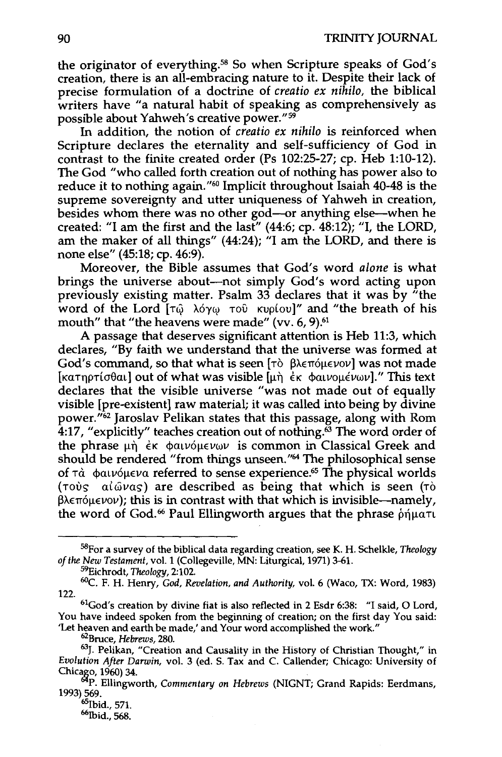the originator of everything.58 So when Scripture speaks of God's creation, there is an all-embracing nature to it. Despite their lack of precise formulation of a doctrine of *creatio ex nihilo,* the biblical writers have "a natural habit of speaking as comprehensively as possible about Yahweh's creative power." <sup>59</sup>

In addition, the notion of *creatio ex nihilo* is reinforced when Scripture declares the eternality and self-sufficiency of God in contrast to the finite created order (Ps 102:25-27; cp. Heb 1:10-12). The God "who called forth creation out of nothing has power also to reduce it to nothing again."60 Implicit throughout Isaiah 40-48 is the supreme sovereignty and utter uniqueness of Yahweh in creation, besides whom there was no other god-or anything else-when he created: "I am the first and the last" (44:6; cp. 48:12); "I, the LORD, am the maker of all things" (44:24); "I am the LORD, and there is none else" (45:18; cp. 46:9).

Moreover, the Bible assumes that God's word *alone* is what brings the universe about-not simply God's word acting upon previously existing matter. Psalm 33 declares that it was by "the word of the Lord [τώ λόγω του κυρίου]" and "the breath of his mouth" that "the heavens were made" (vv. 6, 9).<sup>61</sup>

A passage that deserves significant attention is Heb 11:3, which declares, "By faith we understand that the universe was formed at God's command, so that what is seen  $[\tau\delta \beta \lambda \epsilon \pi \delta \mu \epsilon \nu \delta \nu]$  was not made [KaTnpTio $\theta$ al] out of what was visible  $[\mu \eta \epsilon K \phi \alpha \nu \omega \mu \epsilon \nu \omega \nu]$ ." This text declares that the visible universe "was not made out of equally visible [pre-existent] raw material; it was called into being by divine power."62 Jaroslav Pelikan states that this passage, along with Rom 4:17, "explicitly" teaches creation out of nothing. $63$  The word order of the phrase  $\mu$ n  $\epsilon$ <sub>K</sub>  $\phi$ alvo $\mu\epsilon\nu\omega\nu$  is common in Classical Greek and should be rendered "from things unseen."64 The philosophical sense of  $\tau$ à  $\phi$ alvó $\mu \in \mathcal{V}$  referred to sense experience.<sup>65</sup> The physical worlds ( $\tau$ ovs  $\alpha$ ( $\omega$ vas) are described as being that which is seen ( $\tau$ )  $\beta$ λεπόμενον); this is in contrast with that which is invisible--namely, the word of God.<sup>66</sup> Paul Ellingworth argues that the phrase  $\delta$ njuaTu

1993) 569.<br> $^{65}$ Ibid., 571.<br> $^{66}$ Ibid., 568.

<sup>58</sup>For a survey of the biblical data regarding creation, seeK. H. Schelkle, *Theology of the New Testament,* vol. 1 (Collegeville, MN: Liturgical, 1971) 3-61.

<sup>&</sup>lt;sup>59</sup>Eichrodt, *Theology,* 2:102.<br><sup>60</sup>C. F. H. Henry, *God, Revelation, and Authority, v*ol. 6 (Waco, TX: Word, 1983) 122. 61God's creation by divine fiat is also reflected in 2 Esdr 6:38: "I said, 0 Lord,

You have indeed spoken from the beginning of creation; on the first day You said: Tet heaven and earth be made,' and Your word accomplished the work."<br><sup>62</sup>Bruce, *Hebrews,* 280.<br><sup>63</sup>J. Pelikan, "Creation and Causality in the History of Christian Thought," in

*Evolution After Darwin,* vol. 3 (ed. S. Tax and C. Callender; Chicago: University of  $Cov(1960)$  34.

**P. Ellingworth,** *Commentary on Hebrews* **(NIGNT; Grand Rapids: Eerdmans, 692)**<br>093) 569.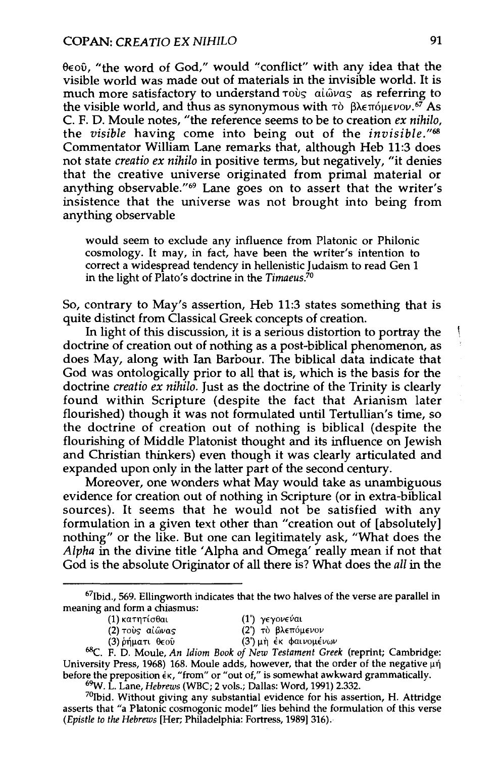$\theta \in \{0, 0\}$ . "the word of God," would "conflict" with any idea that the visible world was made out of materials in the invisible world. It is much more satisfactory to understand  $\tau$ ovs al@vas as referring to the visible world, and thus as synonymous with  $\tau$   $\delta$   $\beta$  $\lambda \epsilon \pi$   $\delta \mu \epsilon \nu \partial \nu$ .  $\delta \gamma$  As C. F. D. Moule notes, "the reference seems to be to creation *ex nihilo,*  the *visible* having come into being out of the *invisible."68*  Commentator William Lane remarks that, although Heb 11:3 does not state *creatio ex nihilo* in positive terms, but negatively, "it denies that the creative universe originated from primal material or anything observable."<sup>69</sup> Lane goes on to assert that the writer's insistence that the universe was not brought into being from anything observable

would seem to exclude any influence from Platonic or Philonic cosmology. It may, in fact, have been the writer's intention to correct a widespread tendency in hellenistic Judaism to read Gen 1 in the light of Plato's doctrine in the *Timaeus7°* 

So, contrary to May's assertion, Heb 11:3 states something that is quite distinct from Classical Greek concepts of creation.

In light of this discussion, it is a serious distortion to portray the doctrine of creation out of nothing as a post-biblical phenomenon, as does May, along with Ian Barbour. The biblical data indicate that God was ontologically prior to all that is, which is the basis for the doctrine *creatio ex nihilo.* Just as the doctrine of the Trinity is clearly found within Scripture (despite the fact that Arianism later flourished) though it was not formulated until Tertullian's time, so the doctrine of creation out of nothing is biblical (despite the flourishing of Middle Platonist thought and its influence on Jewish and Christian thinkers) even though it was clearly articulated and expanded upon only in the latter part of the second century.

Moreover, one wonders what May would take as unambiguous evidence for creation out of nothing in Scripture (or in extra-biblical sources). It seems that he would not be satisfied with any formulation in a given text other than "creation out of [absolutely] nothing" or the like. But one can legitimately ask, "What does the *Alpha* in the divine title 'Alpha and Omega' really mean if not that God is the absolute Originator of all there is? What does the *all* in the

(2) τους αίωνας (2') το βλεπόμενον

ţ

 $67$ Ibid., 569. Ellingworth indicates that the two halves of the verse are parallel in meaning and form a chiasmus:

<sup>(1)</sup> κατητίσθαι (1') γεγονεύαι

<sup>(3)</sup>  $\pi$ iματι θεού (3<sup>'</sup>) μη έκ φαινομένων (3') εις φαινομένων 68C. F. D. Moule, *An Idiom Book of New Testament Greek* (reprint; Cambridge: University Press, 1968) 168. Moule adds, however, that the order of the negative  $\mu\eta$ before the preposition  $\epsilon$ <sub>K</sub>, "from" or "out of," is somewhat awkward grammatically.

<sup>&</sup>lt;sup>69</sup>W. L. Lane, *Hebrews* (WBC; 2 vols.; Dallas: Word, 1991) 2.332. <sup>70</sup>Ibid. Without giving any substantial evidence for his assertion, H. Attridge asserts that "a Platonic cosmogonic model" lies behind the formulation of this verse *(Epistle to the Hebrews* [Her; Philadelphia: Fortress, 1989]316).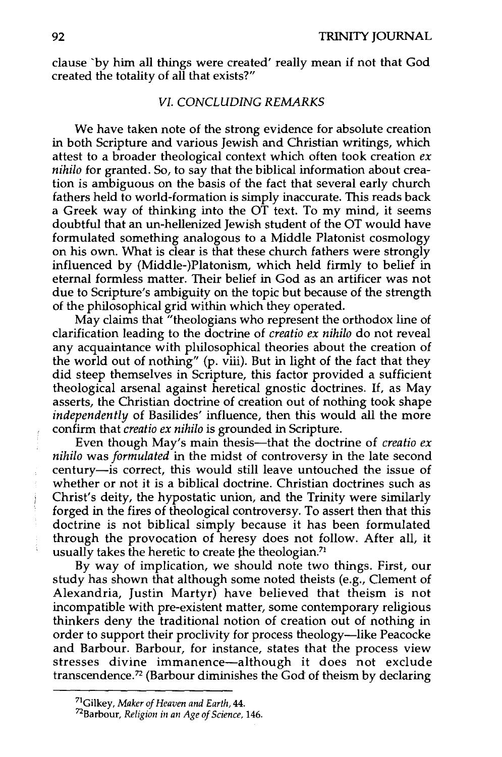clause 'by him all things were created' really mean if not that God created the totality of all that exists?"

## *VI. CONCLUDING REMARKS*

We have taken note of the strong evidence for absolute creation in both Scripture and various Jewish and Christian writings, which attest to a broader theological context which often took creation *ex nihilo* for granted. So, to say that the biblical information about creation is ambiguous on the basis of the fact that several early church fathers held to world-formation is simply inaccurate. This reads back a Greek way of thinking into the OT text. To my mind, it seems doubtful that an un-hellenized Jewish student of the OT would have formulated something analogous to a Middle Platonist cosmology on his own. What is clear is that these church fathers were strongly influenced by (Middle-)Platonism, which held firmly to belief in eternal formless matter. Their belief in God as an artificer was not due to Scripture's ambiguity on the topic but because of the strength of the philosophical grid within which they operated.

May claims that "theologians who represent the orthodox line of clarification leading to the doctrine of *creatio ex nihilo* do not reveal any acquaintance with philosophical theories about the creation of the world out of nothing" (p. viii). But in light of the fact that they did steep themselves in Scripture, this factor provided a sufficient theological arsenal against heretical gnostic doctrines. If, as May asserts, the Christian doctrine of creation out of nothing took shape *independently* of Basilides' influence, then this would all the more confirm that *creatio ex nihilo* is grounded in Scripture.

Even though May's main thesis—that the doctrine of *creatio ex nihilo* was *formulated* in the midst of controversy in the late second century-is correct, this would still leave untouched the issue of whether or not it is a biblical doctrine. Christian doctrines such as Christ's deity, the hypostatic union, and the Trinity were similarly forged in the fires of theological controversy. To assert then that this doctrine is not biblical simply because it has been formulated through the provocation of heresy does not follow. After all, it usually takes the heretic to create the theologian.<sup>71</sup>

By way of implication, we should note two things. First, our study has shown that although some noted theists (e.g., Clement of Alexandria, Justin Martyr) have believed that theism is not incompatible with pre-existent matter, some contemporary religious thinkers deny the traditional notion of creation out of nothing in order to support their proclivity for process theology-like Peacocke and Barbour. Barbour, for instance, states that the process view stresses divine immanence-although it does not exclude transcendence. 72 (Barbour diminishes the God of theism by declaring

<sup>71</sup>Gilkey, *Maker of Heaven and Earth,* 44. 72Barbour, *Religion in an Age of Science,* 146.